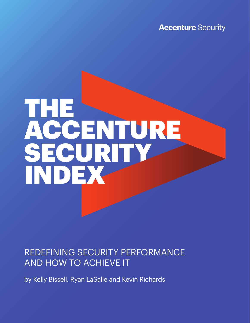**Accenture Security** 

# SECURITY INDEX ACCENTURE THE

### REDEFINING SECURITY PERFORMANCE AND HOW TO ACHIEVE IT

by Kelly Bissell, Ryan LaSalle and Kevin Richards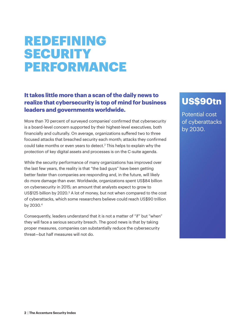### REDEFINING **SECURITY** PERFORMANCE

#### **It takes little more than a scan of the daily news to realize that cybersecurity is top of mind for business leaders and governments worldwide.**

More than 70 percent of surveyed companies<sup>1</sup> confirmed that cybersecurity is a board-level concern supported by their highest-level executives, both financially and culturally. On average, organizations suffered two to three focused attacks that breached security each month; attacks they confirmed could take months or even years to detect.<sup>2</sup> This helps to explain why the protection of key digital assets and processes is on the C-suite agenda.

While the security performance of many organizations has improved over the last few years, the reality is that "the bad guys" have been getting better faster than companies are responding and, in the future, will likely do more damage than ever. Worldwide, organizations spent US\$84 billion on cybersecurity in 2015; an amount that analysts expect to grow to US\$125 billion by 2020.<sup>3</sup> A lot of money, but not when compared to the cost of cyberattacks, which some researchers believe could reach US\$90 trillion by 2030.4

Consequently, leaders understand that it is not a matter of "if" but "when" they will face a serious security breach. The good news is that by taking proper measures, companies can substantially reduce the cybersecurity threat—but half measures will not do.

### **US\$90tn**

Potential cost of cyberattacks by 2030.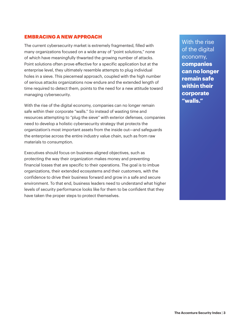#### EMBRACING A NEW APPROACH

The current cybersecurity market is extremely fragmented, filled with many organizations focused on a wide array of "point solutions," none of which have meaningfully thwarted the growing number of attacks. Point solutions often prove effective for a specific application but at the enterprise level, they ultimately resemble attempts to plug individual holes in a sieve. This piecemeal approach, coupled with the high number of serious attacks organizations now endure and the extended length of time required to detect them, points to the need for a new attitude toward managing cybersecurity.

With the rise of the digital economy, companies can no longer remain safe within their corporate "walls." So instead of wasting time and resources attempting to "plug the sieve" with exterior defenses, companies need to develop a holistic cybersecurity strategy that protects the organization's most important assets from the inside out—and safeguards the enterprise across the entire industry value chain, such as from raw materials to consumption.

Executives should focus on business-aligned objectives, such as protecting the way their organization makes money and preventing financial losses that are specific to their operations. The goal is to imbue organizations, their extended ecosystems and their customers, with the confidence to drive their business forward and grow in a safe and secure environment. To that end, business leaders need to understand what higher levels of security performance looks like for them to be confident that they have taken the proper steps to protect themselves.

With the rise of the digital economy, **companies can no longer remain safe within their corporate "walls."**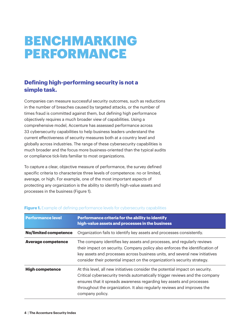### BENCHMARKING PERFORMANCE

#### **Defining high-performing security is not a simple task.**

Companies can measure successful security outcomes, such as reductions in the number of breaches caused by targeted attacks, or the number of times fraud is committed against them, but defining high performance objectively requires a much broader view of capabilities. Using a comprehensive model, Accenture has assessed performance across 33 cybersecurity capabilities to help business leaders understand the current effectiveness of security measures both at a country level and globally across industries. The range of these cybersecurity capabilities is much broader and the focus more business-oriented than the typical audits or compliance tick-lists familiar to most organizations.

To capture a clear, objective measure of performance, the survey defined specific criteria to characterize three levels of competence: no or limited, average, or high. For example, one of the most important aspects of protecting any organization is the ability to identify high-value assets and processes in the business (Figure 1).

| <b>Performance level</b>     | Performance criteria for the ability to identify<br>high-value assets and processes in the business                                                                                                                                                                                                                                |  |
|------------------------------|------------------------------------------------------------------------------------------------------------------------------------------------------------------------------------------------------------------------------------------------------------------------------------------------------------------------------------|--|
| <b>No/limited competence</b> | Organization fails to identify key assets and processes consistently.                                                                                                                                                                                                                                                              |  |
| <b>Average competence</b>    | The company identifies key assets and processes, and regularly reviews<br>their impact on security. Company policy also enforces the identification of<br>key assets and processes across business units, and several new initiatives<br>consider their potential impact on the organization's security strategy.                  |  |
| <b>High competence</b>       | At this level, all new initiatives consider the potential impact on security.<br>Critical cybersecurity trends automatically trigger reviews and the company<br>ensures that it spreads awareness regarding key assets and processes<br>throughout the organization. It also regularly reviews and improves the<br>company policy. |  |

#### **Figure 1.** Example of defining performance levels for cybersecurity capabilities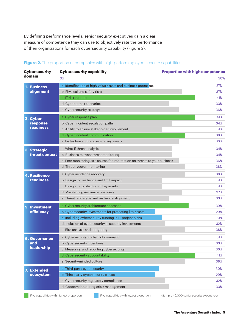By defining performance levels, senior security executives gain a clear measure of competence they can use to objectively rate the performance of their organizations for each cybersecurity capability (Figure 2).

| <b>Cybersecurity</b><br>domain                   | <b>Cybersecurity capability</b>                                            | <b>Proportion with high competence</b> |
|--------------------------------------------------|----------------------------------------------------------------------------|----------------------------------------|
|                                                  | 0%                                                                         | 50%                                    |
| 1. Business<br>alignment                         | a. Identification of high-value assets and business processes              | 27%                                    |
|                                                  | b. Physical and safety risks                                               | 37%                                    |
|                                                  | c. IT risk support                                                         | 41%                                    |
|                                                  | d. Cyber-attack scenarios                                                  | 33%                                    |
|                                                  | e. Cybersecurity strategy                                                  | 36%                                    |
| 2. Cyber<br>response<br>readiness                | a. Cyber response plan                                                     | 41%                                    |
|                                                  | b. Cyber incident escalation paths                                         | 34%                                    |
|                                                  | c. Ability to ensure stakeholder involvement                               | 31%                                    |
|                                                  | d. Cyber incident communication                                            | 38%                                    |
|                                                  | e. Protection and recovery of key assets                                   | 36%                                    |
| 3. Strategic<br>threat context                   | a. What-if threat analysis                                                 | 34%                                    |
|                                                  | b. Business relevant threat monitoring                                     | 34%                                    |
|                                                  | c. Peer monitoring as a source for information on threats to your business | 36%                                    |
|                                                  | d. Threat vector monitoring                                                | 38%                                    |
| <b>4. Resilience</b><br>readiness                | a. Cyber incidence recovery                                                | 38%                                    |
|                                                  | b. Design for resilience and limit impact                                  | 31%                                    |
|                                                  | c. Design for protection of key assets                                     | 31%                                    |
|                                                  | d. Maintaining resilience readiness                                        | 37%                                    |
|                                                  | e. Threat landscape and resilience alignment                               | 33%                                    |
| <b>5. Investment</b><br>efficiency               | a. Cybersecurity architecture approach                                     | 39%                                    |
|                                                  | b. Cybersecurity investments for protecting key assets                     | 29%                                    |
|                                                  | c. Including cybersecurity funding in IT project plans                     | 31%                                    |
|                                                  | d. Inclusion of cybersecurity in security investments                      | 32%                                    |
|                                                  | e. Risk analysis and budgeting                                             | 38%                                    |
| <b>6. Governance</b><br>and<br><b>leadership</b> | a. Cybersecurity in chain of command                                       | 31%                                    |
|                                                  | b. Cybersecurity incentives                                                | 33%                                    |
|                                                  | c. Measuring and reporting cybersecurity                                   | 36%                                    |
|                                                  | d. Cybersecurity accountability                                            | 41%                                    |
|                                                  | e. Security-minded culture                                                 | 38%                                    |
| 7. Extended<br>ecosystem                         | a. Third-party cybersecurity                                               | 30%                                    |
|                                                  | b. Third-party cybersecurity clauses                                       | 29%                                    |
|                                                  | c. Cybersecurity regulatory compliance                                     | 32%                                    |
|                                                  | d. Cooperation during crisis management                                    | 33%                                    |

#### **Figure 2.** The proportion of companies with high-performing cybersecurity capabilities

Five capabilities with highest proportion **Five capabilities with lowest proportion** (Sample = 2,000 senior security executives)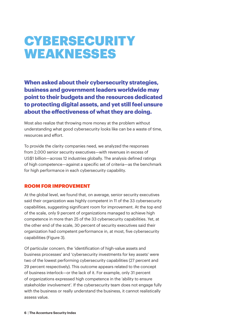### **CYBERSECURITY** WEAKNESSES

**When asked about their cybersecurity strategies, business and government leaders worldwide may point to their budgets and the resources dedicated to protecting digital assets, and yet still feel unsure about the effectiveness of what they are doing.** 

Most also realize that throwing more money at the problem without understanding what good cybersecurity looks like can be a waste of time, resources and effort.

To provide the clarity companies need, we analyzed the responses from 2,000 senior security executives—with revenues in excess of US\$1 billion—across 12 industries globally. The analysis defined ratings of high competence—against a specific set of criteria—as the benchmark for high performance in each cybersecurity capability.

#### ROOM FOR IMPROVEMENT

At the global level, we found that, on average, senior security executives said their organization was highly competent in 11 of the 33 cybersecurity capabilities, suggesting significant room for improvement. At the top end of the scale, only 9 percent of organizations managed to achieve high competence in more than 25 of the 33 cybersecurity capabilities. Yet, at the other end of the scale, 30 percent of security executives said their organization had competent performance in, at most, five cybersecurity capabilities (Figure 3).

Of particular concern, the 'identification of high-value assets and business processes' and 'cybersecurity investments for key assets' were two of the lowest performing cybersecurity capabilities (27 percent and 29 percent respectively). This outcome appears related to the concept of business interlock—or the lack of it. For example, only 31 percent of organizations expressed high competence in the 'ability to ensure stakeholder involvement'. If the cybersecurity team does not engage fully with the business or really understand the business, it cannot realistically assess value.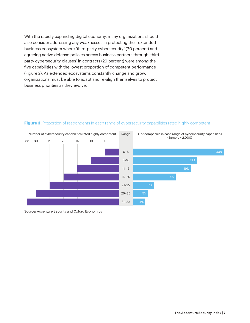With the rapidly expanding digital economy, many organizations should also consider addressing any weaknesses in protecting their extended business ecosystem where 'third-party cybersecurity' (30 percent) and agreeing active defense policies across business partners through 'thirdparty cybersecurity clauses' in contracts (29 percent) were among the five capabilities with the lowest proportion of competent performance (Figure 2). As extended ecosystems constantly change and grow, organizations must be able to adapt and re-align themselves to protect business priorities as they evolve.



#### Figure 3. Proportion of respondents in each range of cybersecurity capabilities rated highly competent

Source: Accenture Security and Oxford Economics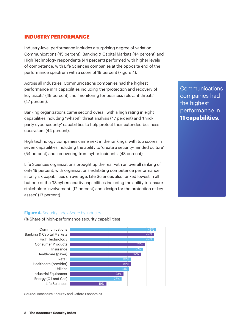#### INDUSTRY PERFORMANCE

Industry-level performance includes a surprising degree of variation. Communications (45 percent), Banking & Capital Markets (44 percent) and High Technology respondents (44 percent) performed with higher levels of competence, with Life Sciences companies at the opposite end of the performance spectrum with a score of 19 percent (Figure 4).

Across all industries, Communications companies had the highest performance in 11 capabilities including the 'protection and recovery of key assets' (49 percent) and 'monitoring for business-relevant threats' (47 percent).

Banking organizations came second overall with a high rating in eight capabilities including "what-if" threat analysis (47 percent) and 'thirdparty cybersecurity' capabilities to help protect their extended business ecosystem (44 percent).

High technology companies came next in the rankings, with top scores in seven capabilities including the ability to 'create a security-minded culture' (54 percent) and 'recovering from cyber incidents' (48 percent).

Life Sciences organizations brought up the rear with an overall ranking of only 19 percent, with organizations exhibiting competence performance in only six capabilities on average. Life Sciences also ranked lowest in all but one of the 33 cybersecurity capabilities including the ability to 'ensure stakeholder involvement' (12 percent) and 'design for the protection of key assets' (13 percent).

#### **Communications** companies had the highest performance in **11 capabilities**.

#### **Figure 4.** Security Index Score by Industry

(% Share of high-performance security capabilities)



Source: Accenture Security and Oxford Economics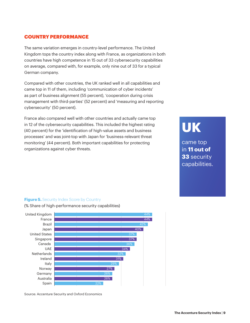#### COUNTRY PERFORMANCE

The same variation emerges in country-level performance. The United Kingdom tops the country index along with France, as organizations in both countries have high competence in 15 out of 33 cybersecurity capabilities on average, compared with, for example, only nine out of 33 for a typical German company.

Compared with other countries, the UK ranked well in all capabilities and came top in 11 of them, including 'communication of cyber incidents' as part of business alignment (55 percent), 'cooperation during crisis management with third-parties' (52 percent) and 'measuring and reporting cybersecurity' (50 percent).

France also compared well with other countries and actually came top in 12 of the cybersecurity capabilities. This included the highest rating (40 percent) for the 'identification of high-value assets and business processes' and was joint-top with Japan for 'business-relevant threat monitoring' (44 percent). Both important capabilities for protecting organizations against cyber threats.

# **UK**

came top in **11 out of 33** security capabilities.

#### **Figure 5.** Security Index Score by Country

(% Share of high-performance security capabilities)



Source: Accenture Security and Oxford Economics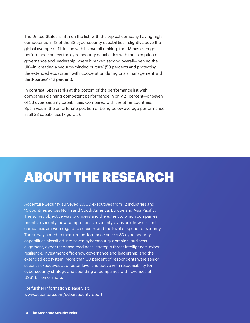The United States is fifth on the list, with the typical company having high competence in 12 of the 33 cybersecurity capabilities—slightly above the global average of 11. In line with its overall ranking, the US has average performance across the cybersecurity capabilities with the exception of governance and leadership where it ranked second overall—behind the UK—in 'creating a security-minded culture' (53 percent) and protecting the extended ecosystem with 'cooperation during crisis management with third-parties' (42 percent).

In contrast, Spain ranks at the bottom of the performance list with companies claiming competent performance in only 21 percent—or seven of 33 cybersecurity capabilities. Compared with the other countries, Spain was in the unfortunate position of being below average performance in all 33 capabilities (Figure 5).

### ABOUT THE RESEARCH

Accenture Security surveyed 2,000 executives from 12 industries and 15 countries across North and South America, Europe and Asia Pacific. The survey objective was to understand the extent to which companies prioritize security, how comprehensive security plans are, how resilient companies are with regard to security, and the level of spend for security. The survey aimed to measure performance across 33 cybersecurity capabilities classified into seven cybersecurity domains: business alignment, cyber response readiness, strategic threat intelligence, cyber resilience, investment efficiency, governance and leadership, and the extended ecosystem. More than 60 percent of respondents were senior security executives at director level and above with responsibility for cybersecurity strategy and spending at companies with revenues of US\$1 billion or more.

For further information please visit: www.accenture.com/cybersecurityreport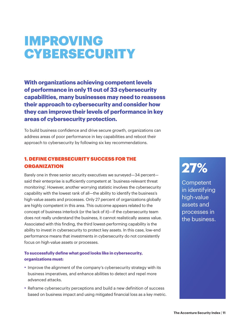### IMPROVING **CYBERSECURITY**

**With organizations achieving competent levels of performance in only 11 out of 33 cybersecurity capabilities, many businesses may need to reassess their approach to cybersecurity and consider how they can improve their levels of performance in key areas of cybersecurity protection.**

To build business confidence and drive secure growth, organizations can address areas of poor performance in key capabilities and reboot their approach to cybersecurity by following six key recommendations.

#### 1. DEFINE CYBERSECURITY SUCCESS FOR THE **ORGANIZATION**

Barely one in three senior security executives we surveyed—34 percent said their enterprise is sufficiently competent at `business-relevant threat monitoring'. However, another worrying statistic involves the cybersecurity capability with the lowest rank of all—the ability to identify the business's high-value assets and processes. Only 27 percent of organizations globally are highly competent in this area. This outcome appears related to the concept of business interlock (or the lack of it)—if the cybersecurity team does not really understand the business, it cannot realistically assess value. Associated with this finding, the third lowest-performing capability is the ability to invest in cybersecurity to protect key assets. In this case, low-end performance means that investments in cybersecurity do not consistently focus on high-value assets or processes.

#### **To successfully define what good looks like in cybersecurity, organizations must:**

- Improve the alignment of the company's cybersecurity strategy with its business imperatives, and enhance abilities to detect and repel more advanced attacks.
- Reframe cybersecurity perceptions and build a new definition of success based on business impact and using mitigated financial loss as a key metric.

## **27%**

**Competent** in identifying high-value assets and processes in the business.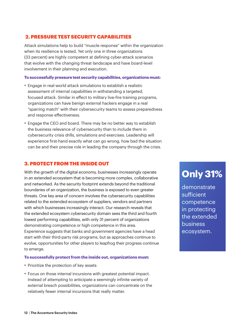#### 2. PRESSURE TEST SECURITY CAPABILITIES

Attack simulations help to build "muscle response" within the organization when its resilience is tested. Yet only one in three organizations (33 percent) are highly competent at defining cyber-attack scenarios that evolve with the changing threat landscape and have board-level involvement in their planning and execution.

#### **To successfully pressure test security capabilities, organizations must:**

- Engage in real-world attack simulations to establish a realistic assessment of internal capabilities in withstanding a targeted, focused attack. Similar in effect to military live-fire training programs, organizations can have benign external hackers engage in a real "sparring match" with their cybersecurity teams to assess preparedness and response effectiveness.
- Engage the CEO and board. There may be no better way to establish the business relevance of cybersecurity than to include them in cybersecurity crisis drills, simulations and exercises. Leadership will experience first-hand exactly what can go wrong, how bad the situation can be and their precise role in leading the company through the crisis.

#### 3. PROTECT FROM THE INSIDE OUT

With the growth of the digital economy, businesses increasingly operate in an extended ecosystem that is becoming more complex, collaborative and networked. As the security footprint extends beyond the traditional boundaries of an organization, the business is exposed to even greater threats. One key area of concern involves the cybersecurity capabilities related to the extended ecosystem of suppliers, vendors and partners with which businesses increasingly interact. Our research reveals that the extended ecosystem cybersecurity domain sees the third and fourth lowest performing capabilities, with only 31 percent of organizations demonstrating competence or high competence in this area. Experience suggests that banks and government agencies have a head start with their third-party risk programs, but as approaches continue to evolve, opportunities for other players to leapfrog their progress continue to emerge.

#### **To successfully protect from the inside out, organizations must:**

- Prioritize the protection of key assets
- Focus on those internal incursions with greatest potential impact. Instead of attempting to anticipate a seemingly infinite variety of external breach possibilities, organizations can concentrate on the relatively fewer internal incursions that really matter.

### **Only 31%**

demonstrate sufficient competence in protecting the extended business ecosystem.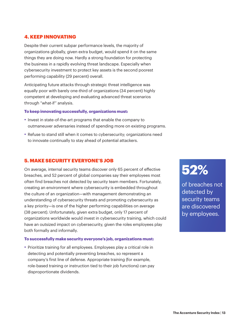#### 4. KEEP INNOVATING

Despite their current subpar performance levels, the majority of organizations globally, given extra budget, would spend it on the same things they are doing now. Hardly a strong foundation for protecting the business in a rapidly evolving threat landscape. Especially when cybersecurity investment to protect key assets is the second poorest performing capability (29 percent) overall.

Anticipating future attacks through strategic threat intelligence was equally poor with barely one-third of organizations (34 percent) highly competent at developing and evaluating advanced threat scenarios through "what-if" analysis.

#### **To keep innovating successfully, organizations must:**

- Invest in state-of-the-art programs that enable the company to outmaneuver adversaries instead of spending more on existing programs.
- Refuse to stand still when it comes to cybersecurity; organizations need to innovate continually to stay ahead of potential attackers.

#### 5. MAKE SECURITY EVERYONE'S JOB

On average, internal security teams discover only 65 percent of effective breaches, and 52 percent of global companies say their employees most often find breaches not detected by security team members. Fortunately, creating an environment where cybersecurity is embedded throughout the culture of an organization—with management demonstrating an understanding of cybersecurity threats and promoting cybersecurity as a key priority—is one of the higher performing capabilities on average (38 percent). Unfortunately, given extra budget, only 17 percent of organizations worldwide would invest in cybersecurity training, which could have an outsized impact on cybersecurity, given the roles employees play both formally and informally.

#### **To successfully make security everyone's job, organizations must:**

• Prioritize training for all employees. Employees play a critical role in detecting and potentially preventing breaches, so represent a company's first line of defense. Appropriate training (for example, role-based training or instruction tied to their job functions) can pay disproportionate dividends.

### **52%**

of breaches not detected by security teams are discovered by employees.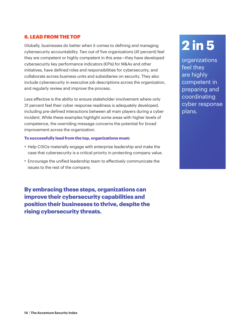#### 6. LEAD FROM THE TOP

Globally, businesses do better when it comes to defining and managing cybersecurity accountability. Two out of five organizations (41 percent) feel they are competent or highly competent in this area—they have developed cybersecurity key performance indicators (KPIs) for M&As and other initiatives, have defined roles and responsibilities for cybersecurity, and collaborate across business units and subsidiaries on security. They also include cybersecurity in executive job descriptions across the organization, and regularly review and improve the process.

Less effective is the ability to ensure stakeholder involvement where only 31 percent feel their cyber response readiness is adequately developed, including pre-defined interactions between all main players during a cyber incident. While these examples highlight some areas with higher levels of competence, the overriding message concerns the potential for broad improvement across the organization.

#### **To successfully lead from the top, organizations must:**

- Help CISOs materially engage with enterprise leadership and make the case that cybersecurity is a critical priority in protecting company value.
- Encourage the unified leadership team to effectively communicate the issues to the rest of the company.

**By embracing these steps, organizations can improve their cybersecurity capabilities and position their businesses to thrive, despite the rising cybersecurity threats.** 

# **2 in 5**

organizations feel they are highly competent in preparing and coordinating cyber response plans.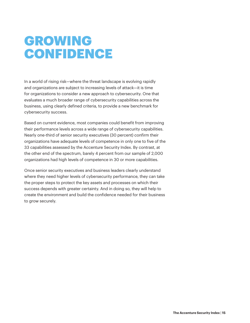### GROWING **CONFIDENCE**

In a world of rising risk—where the threat landscape is evolving rapidly and organizations are subject to increasing levels of attack—it is time for organizations to consider a new approach to cybersecurity. One that evaluates a much broader range of cybersecurity capabilities across the business, using clearly defined criteria, to provide a new benchmark for cybersecurity success.

Based on current evidence, most companies could benefit from improving their performance levels across a wide range of cybersecurity capabilities. Nearly one-third of senior security executives (30 percent) confirm their organizations have adequate levels of competence in only one to five of the 33 capabilities assessed by the Accenture Security Index. By contrast, at the other end of the spectrum, barely 4 percent from our sample of 2,000 organizations had high levels of competence in 30 or more capabilities.

Once senior security executives and business leaders clearly understand where they need higher levels of cybersecurity performance, they can take the proper steps to protect the key assets and processes on which their success depends with greater certainty. And in doing so, they will help to create the environment and build the confidence needed for their business to grow securely.